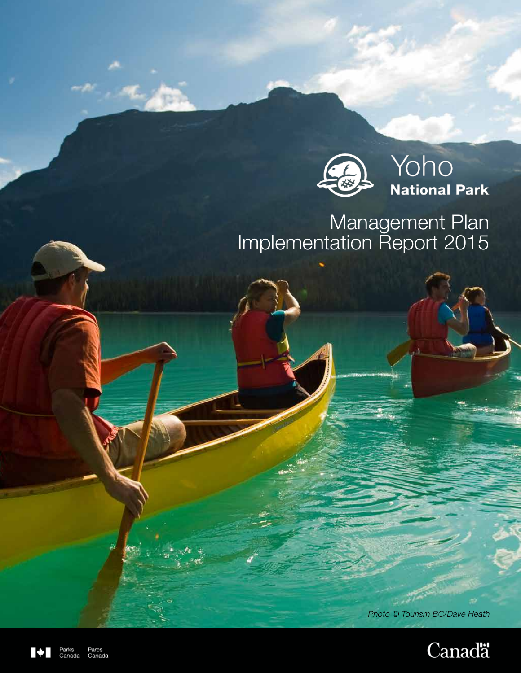

# Management Plan Implementation Report 2015

1 *Photo © Tourism BC/Dave Heath* 



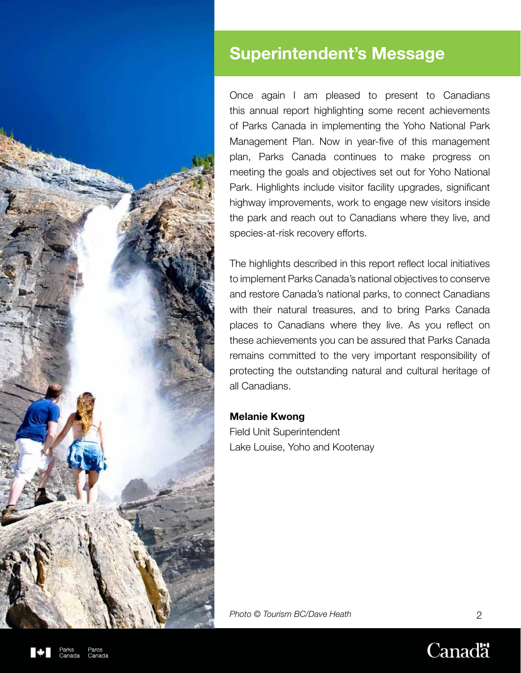

# Superintendent's Message

Once again I am pleased to present to Canadians this annual report highlighting some recent achievements of Parks Canada in implementing the Yoho National Park Management Plan. Now in year-five of this management plan, Parks Canada continues to make progress on meeting the goals and objectives set out for Yoho National Park. Highlights include visitor facility upgrades, significant highway improvements, work to engage new visitors inside the park and reach out to Canadians where they live, and species-at-risk recovery efforts.

The highlights described in this report reflect local initiatives to implement Parks Canada's national objectives to conserve and restore Canada's national parks, to connect Canadians with their natural treasures, and to bring Parks Canada places to Canadians where they live. As you reflect on these achievements you can be assured that Parks Canada remains committed to the very important responsibility of protecting the outstanding natural and cultural heritage of all Canadians.

#### Melanie Kwong

Field Unit Superintendent Lake Louise, Yoho and Kootenay

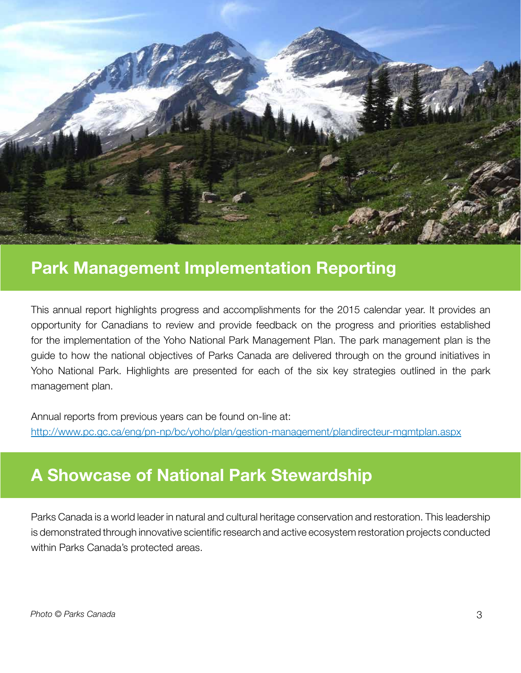

## Park Management Implementation Reporting

This annual report highlights progress and accomplishments for the 2015 calendar year. It provides an opportunity for Canadians to review and provide feedback on the progress and priorities established for the implementation of the Yoho National Park Management Plan. The park management plan is the guide to how the national objectives of Parks Canada are delivered through on the ground initiatives in Yoho National Park. Highlights are presented for each of the six key strategies outlined in the park management plan.

Annual reports from previous years can be found on-line at: http://www.pc.gc.ca/eng/pn-np/bc/yoho/plan/gestion-management/plandirecteur-mgmtplan.aspx

## A Showcase of National Park Stewardship

Parks Canada is a world leader in natural and cultural heritage conservation and restoration. This leadership is demonstrated through innovative scientific research and active ecosystem restoration projects conducted within Parks Canada's protected areas.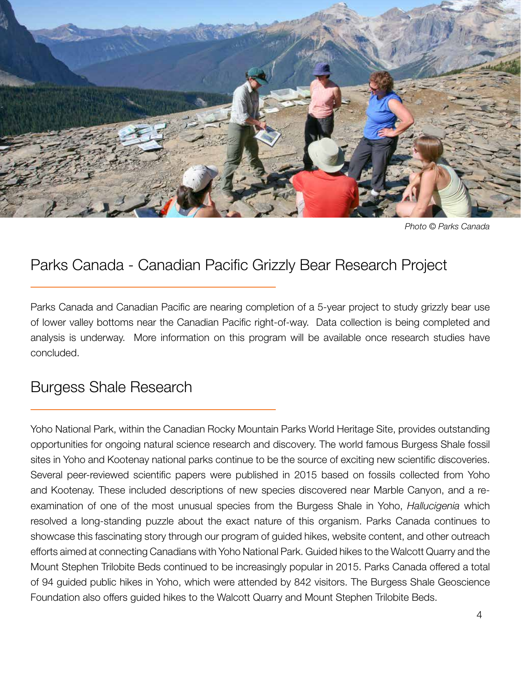

*Photo © Parks Canada*

### Parks Canada - Canadian Pacific Grizzly Bear Research Project

Parks Canada and Canadian Pacific are nearing completion of a 5-year project to study grizzly bear use of lower valley bottoms near the Canadian Pacific right-of-way. Data collection is being completed and analysis is underway. More information on this program will be available once research studies have concluded.

#### Burgess Shale Research

Yoho National Park, within the Canadian Rocky Mountain Parks World Heritage Site, provides outstanding opportunities for ongoing natural science research and discovery. The world famous Burgess Shale fossil sites in Yoho and Kootenay national parks continue to be the source of exciting new scientific discoveries. Several peer-reviewed scientific papers were published in 2015 based on fossils collected from Yoho and Kootenay. These included descriptions of new species discovered near Marble Canyon, and a reexamination of one of the most unusual species from the Burgess Shale in Yoho, *Hallucigenia* which resolved a long-standing puzzle about the exact nature of this organism. Parks Canada continues to showcase this fascinating story through our program of guided hikes, website content, and other outreach efforts aimed at connecting Canadians with Yoho National Park. Guided hikes to the Walcott Quarry and the Mount Stephen Trilobite Beds continued to be increasingly popular in 2015. Parks Canada offered a total of 94 guided public hikes in Yoho, which were attended by 842 visitors. The Burgess Shale Geoscience Foundation also offers guided hikes to the Walcott Quarry and Mount Stephen Trilobite Beds.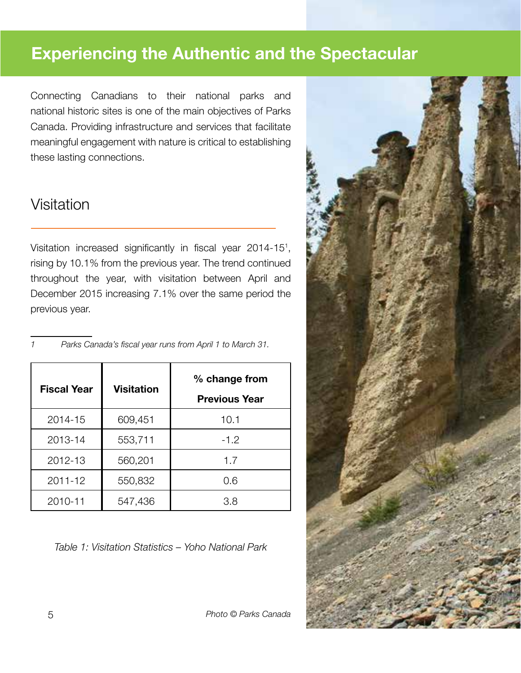## Experiencing the Authentic and the Spectacular

Connecting Canadians to their national parks and national historic sites is one of the main objectives of Parks Canada. Providing infrastructure and services that facilitate meaningful engagement with nature is critical to establishing these lasting connections.

#### Visitation

Visitation increased significantly in fiscal year 2014-15<sup>1</sup>, rising by 10.1% from the previous year. The trend continued throughout the year, with visitation between April and December 2015 increasing 7.1% over the same period the previous year.

| <b>Fiscal Year</b> | <b>Visitation</b> | % change from<br><b>Previous Year</b> |
|--------------------|-------------------|---------------------------------------|
| 2014-15            | 609,451           | 10.1                                  |
| 2013-14            | 553,711           | $-1.2$                                |
| 2012-13            | 560,201           | 1.7                                   |
| $2011 - 12$        | 550,832           | 0.6                                   |
| 2010-11            | 547,436           | 3.8                                   |

*1 Parks Canada's fiscal year runs from April 1 to March 31.*

*Table 1: Visitation Statistics – Yoho National Park*

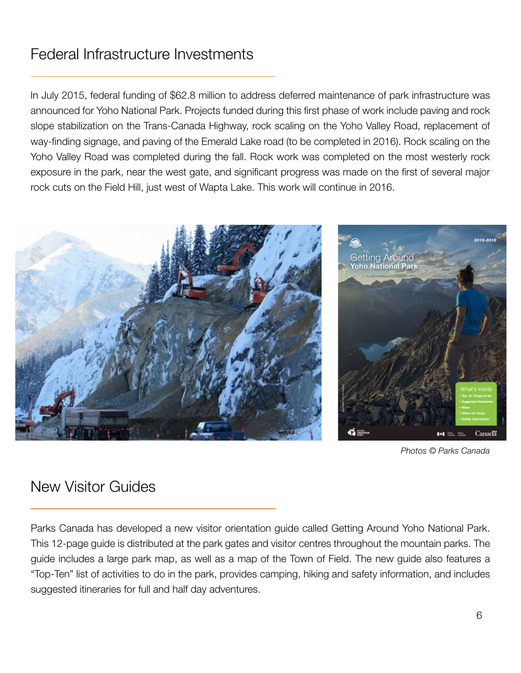## Federal Infrastructure Investments

In July 2015, federal funding of \$62.8 million to address deferred maintenance of park infrastructure was announced for Yoho National Park. Projects funded during this first phase of work include paving and rock slope stabilization on the Trans-Canada Highway, rock scaling on the Yoho Valley Road, replacement of way-finding signage, and paving of the Emerald Lake road (to be completed in 2016). Rock scaling on the Yoho Valley Road was completed during the fall. Rock work was completed on the most westerly rock exposure in the park, near the west gate, and significant progress was made on the first of several major rock cuts on the Field Hill, just west of Wapta Lake. This work will continue in 2016.



*Photos © Parks Canada*

### New Visitor Guides

Parks Canada has developed a new visitor orientation guide called Getting Around Yoho National Park. This 12-page guide is distributed at the park gates and visitor centres throughout the mountain parks. The guide includes a large park map, as well as a map of the Town of Field. The new guide also features a "Top-Ten" list of activities to do in the park, provides camping, hiking and safety information, and includes suggested itineraries for full and half day adventures.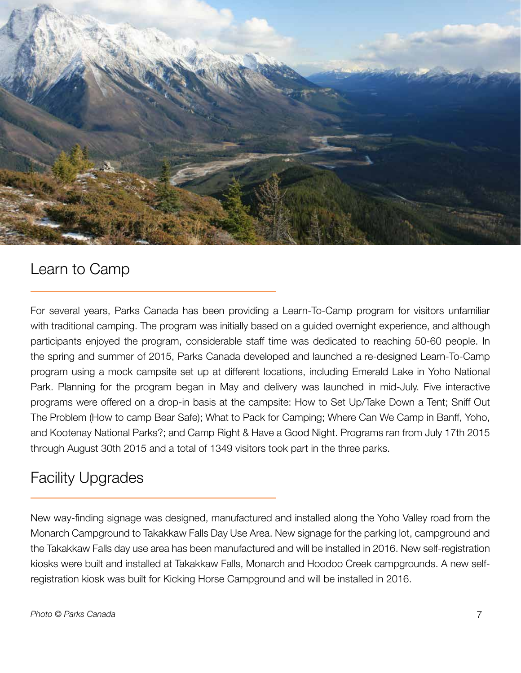

#### Learn to Camp

For several years, Parks Canada has been providing a Learn-To-Camp program for visitors unfamiliar with traditional camping. The program was initially based on a guided overnight experience, and although participants enjoyed the program, considerable staff time was dedicated to reaching 50-60 people. In the spring and summer of 2015, Parks Canada developed and launched a re-designed Learn-To-Camp program using a mock campsite set up at different locations, including Emerald Lake in Yoho National Park. Planning for the program began in May and delivery was launched in mid-July. Five interactive programs were offered on a drop-in basis at the campsite: How to Set Up/Take Down a Tent; Sniff Out The Problem (How to camp Bear Safe); What to Pack for Camping; Where Can We Camp in Banff, Yoho, and Kootenay National Parks?; and Camp Right & Have a Good Night. Programs ran from July 17th 2015 through August 30th 2015 and a total of 1349 visitors took part in the three parks.

### Facility Upgrades

New way-finding signage was designed, manufactured and installed along the Yoho Valley road from the Monarch Campground to Takakkaw Falls Day Use Area. New signage for the parking lot, campground and the Takakkaw Falls day use area has been manufactured and will be installed in 2016. New self-registration kiosks were built and installed at Takakkaw Falls, Monarch and Hoodoo Creek campgrounds. A new selfregistration kiosk was built for Kicking Horse Campground and will be installed in 2016.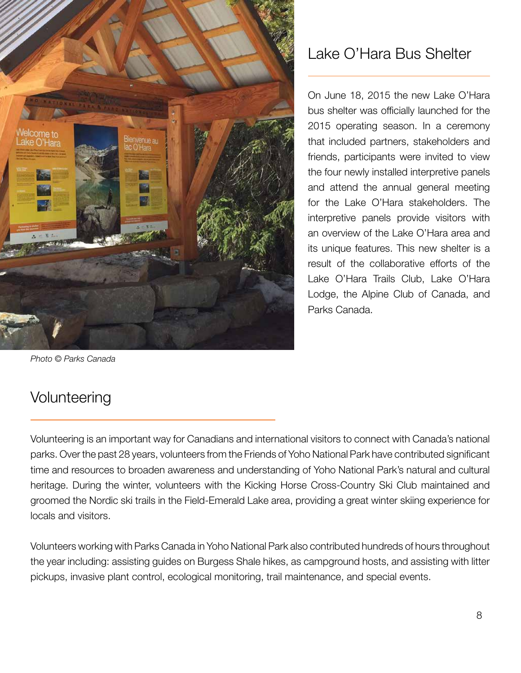

## Lake O'Hara Bus Shelter

On June 18, 2015 the new Lake O'Hara bus shelter was officially launched for the 2015 operating season. In a ceremony that included partners, stakeholders and friends, participants were invited to view the four newly installed interpretive panels and attend the annual general meeting for the Lake O'Hara stakeholders. The interpretive panels provide visitors with an overview of the Lake O'Hara area and its unique features. This new shelter is a result of the collaborative efforts of the Lake O'Hara Trails Club, Lake O'Hara Lodge, the Alpine Club of Canada, and Parks Canada.

*Photo © Parks Canada*

## Volunteering

Volunteering is an important way for Canadians and international visitors to connect with Canada's national parks. Over the past 28 years, volunteers from the Friends of Yoho National Park have contributed significant time and resources to broaden awareness and understanding of Yoho National Park's natural and cultural heritage. During the winter, volunteers with the Kicking Horse Cross-Country Ski Club maintained and groomed the Nordic ski trails in the Field-Emerald Lake area, providing a great winter skiing experience for locals and visitors.

Volunteers working with Parks Canada in Yoho National Park also contributed hundreds of hours throughout the year including: assisting guides on Burgess Shale hikes, as campground hosts, and assisting with litter pickups, invasive plant control, ecological monitoring, trail maintenance, and special events.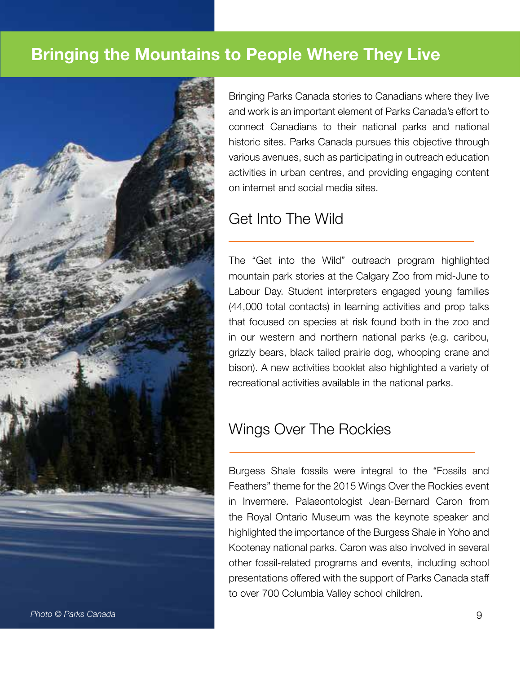## Bringing the Mountains to People Where They Live



Bringing Parks Canada stories to Canadians where they live and work is an important element of Parks Canada's effort to connect Canadians to their national parks and national historic sites. Parks Canada pursues this objective through various avenues, such as participating in outreach education activities in urban centres, and providing engaging content on internet and social media sites.

#### Get Into The Wild

The "Get into the Wild" outreach program highlighted mountain park stories at the Calgary Zoo from mid-June to Labour Day. Student interpreters engaged young families (44,000 total contacts) in learning activities and prop talks that focused on species at risk found both in the zoo and in our western and northern national parks (e.g. caribou, grizzly bears, black tailed prairie dog, whooping crane and bison). A new activities booklet also highlighted a variety of recreational activities available in the national parks.

### Wings Over The Rockies

Burgess Shale fossils were integral to the "Fossils and Feathers" theme for the 2015 Wings Over the Rockies event in Invermere. Palaeontologist Jean-Bernard Caron from the Royal Ontario Museum was the keynote speaker and highlighted the importance of the Burgess Shale in Yoho and Kootenay national parks. Caron was also involved in several other fossil-related programs and events, including school presentations offered with the support of Parks Canada staff to over 700 Columbia Valley school children.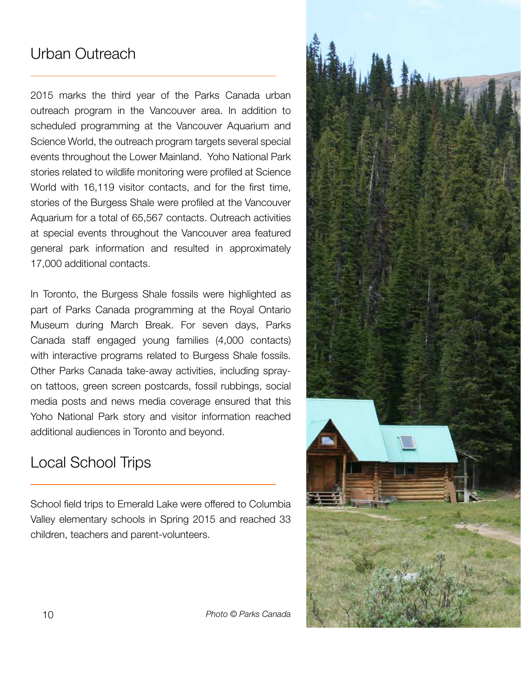## Urban Outreach

2015 marks the third year of the Parks Canada urban outreach program in the Vancouver area. In addition to scheduled programming at the Vancouver Aquarium and Science World, the outreach program targets several special events throughout the Lower Mainland. Yoho National Park stories related to wildlife monitoring were profiled at Science World with 16,119 visitor contacts, and for the first time, stories of the Burgess Shale were profiled at the Vancouver Aquarium for a total of 65,567 contacts. Outreach activities at special events throughout the Vancouver area featured general park information and resulted in approximately 17,000 additional contacts.

In Toronto, the Burgess Shale fossils were highlighted as part of Parks Canada programming at the Royal Ontario Museum during March Break. For seven days, Parks Canada staff engaged young families (4,000 contacts) with interactive programs related to Burgess Shale fossils. Other Parks Canada take-away activities, including sprayon tattoos, green screen postcards, fossil rubbings, social media posts and news media coverage ensured that this Yoho National Park story and visitor information reached additional audiences in Toronto and beyond.

## Local School Trips

School field trips to Emerald Lake were offered to Columbia Valley elementary schools in Spring 2015 and reached 33 children, teachers and parent-volunteers.

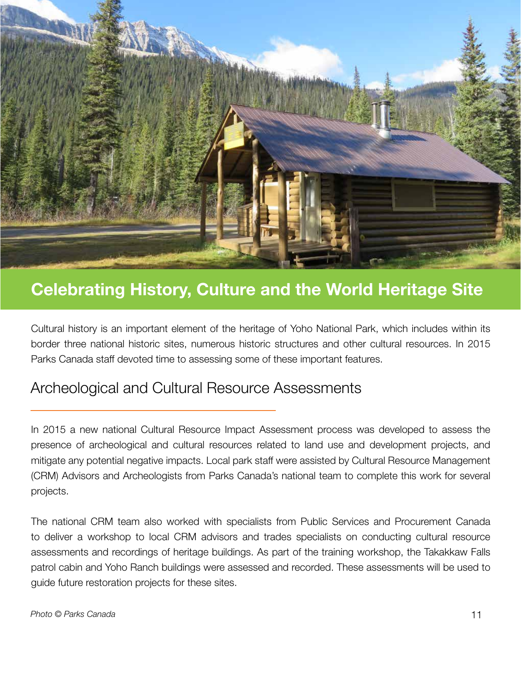

## Celebrating History, Culture and the World Heritage Site

Cultural history is an important element of the heritage of Yoho National Park, which includes within its border three national historic sites, numerous historic structures and other cultural resources. In 2015 Parks Canada staff devoted time to assessing some of these important features.

#### Archeological and Cultural Resource Assessments

In 2015 a new national Cultural Resource Impact Assessment process was developed to assess the presence of archeological and cultural resources related to land use and development projects, and mitigate any potential negative impacts. Local park staff were assisted by Cultural Resource Management (CRM) Advisors and Archeologists from Parks Canada's national team to complete this work for several projects.

The national CRM team also worked with specialists from Public Services and Procurement Canada to deliver a workshop to local CRM advisors and trades specialists on conducting cultural resource assessments and recordings of heritage buildings. As part of the training workshop, the Takakkaw Falls patrol cabin and Yoho Ranch buildings were assessed and recorded. These assessments will be used to guide future restoration projects for these sites.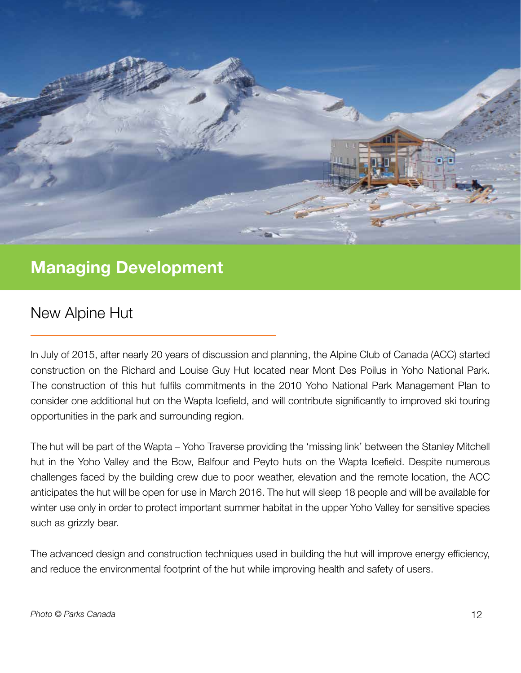

## Managing Development

### New Alpine Hut

In July of 2015, after nearly 20 years of discussion and planning, the Alpine Club of Canada (ACC) started construction on the Richard and Louise Guy Hut located near Mont Des Poilus in Yoho National Park. The construction of this hut fulfils commitments in the 2010 Yoho National Park Management Plan to consider one additional hut on the Wapta Icefield, and will contribute significantly to improved ski touring opportunities in the park and surrounding region.

The hut will be part of the Wapta – Yoho Traverse providing the 'missing link' between the Stanley Mitchell hut in the Yoho Valley and the Bow, Balfour and Peyto huts on the Wapta Icefield. Despite numerous challenges faced by the building crew due to poor weather, elevation and the remote location, the ACC anticipates the hut will be open for use in March 2016. The hut will sleep 18 people and will be available for winter use only in order to protect important summer habitat in the upper Yoho Valley for sensitive species such as grizzly bear.

The advanced design and construction techniques used in building the hut will improve energy efficiency, and reduce the environmental footprint of the hut while improving health and safety of users.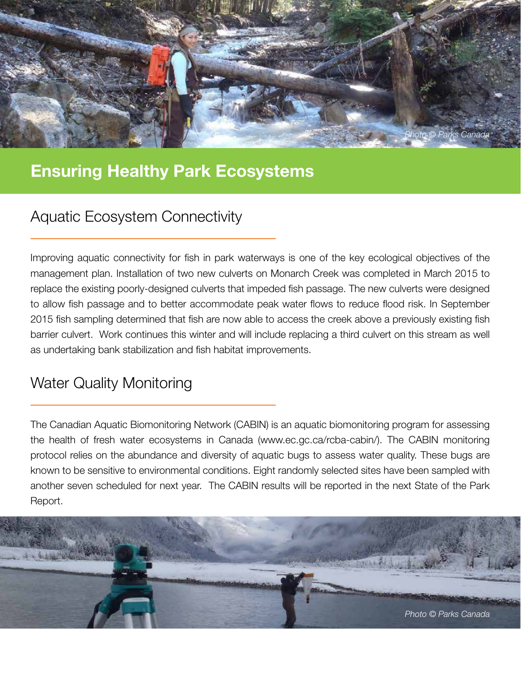

## Ensuring Healthy Park Ecosystems

## Aquatic Ecosystem Connectivity

Improving aquatic connectivity for fish in park waterways is one of the key ecological objectives of the management plan. Installation of two new culverts on Monarch Creek was completed in March 2015 to replace the existing poorly-designed culverts that impeded fish passage. The new culverts were designed to allow fish passage and to better accommodate peak water flows to reduce flood risk. In September 2015 fish sampling determined that fish are now able to access the creek above a previously existing fish barrier culvert. Work continues this winter and will include replacing a third culvert on this stream as well as undertaking bank stabilization and fish habitat improvements.

### Water Quality Monitoring

The Canadian Aquatic Biomonitoring Network (CABIN) is an aquatic biomonitoring program for assessing the health of fresh water ecosystems in Canada (www.ec.gc.ca/rcba-cabin/). The CABIN monitoring protocol relies on the abundance and diversity of aquatic bugs to assess water quality. These bugs are known to be sensitive to environmental conditions. Eight randomly selected sites have been sampled with another seven scheduled for next year. The CABIN results will be reported in the next State of the Park Report.

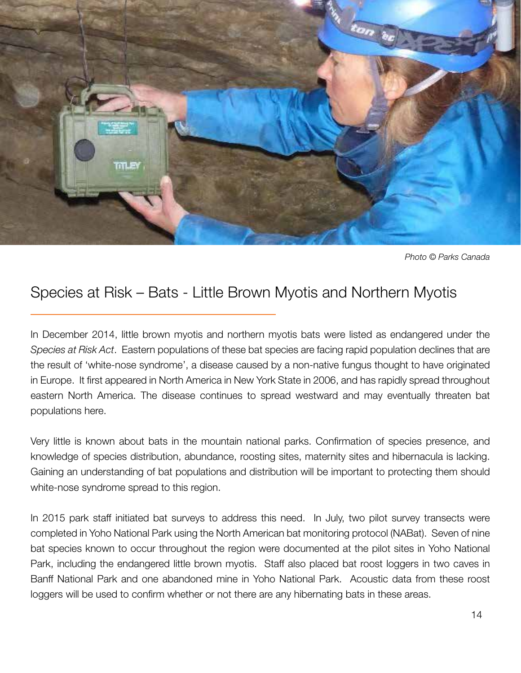

*Photo © Parks Canada*

### Species at Risk – Bats - Little Brown Myotis and Northern Myotis

In December 2014, little brown myotis and northern myotis bats were listed as endangered under the *Species at Risk Act*. Eastern populations of these bat species are facing rapid population declines that are the result of 'white-nose syndrome', a disease caused by a non-native fungus thought to have originated in Europe. It first appeared in North America in New York State in 2006, and has rapidly spread throughout eastern North America. The disease continues to spread westward and may eventually threaten bat populations here.

Very little is known about bats in the mountain national parks. Confirmation of species presence, and knowledge of species distribution, abundance, roosting sites, maternity sites and hibernacula is lacking. Gaining an understanding of bat populations and distribution will be important to protecting them should white-nose syndrome spread to this region.

In 2015 park staff initiated bat surveys to address this need. In July, two pilot survey transects were completed in Yoho National Park using the North American bat monitoring protocol (NABat). Seven of nine bat species known to occur throughout the region were documented at the pilot sites in Yoho National Park, including the endangered little brown myotis. Staff also placed bat roost loggers in two caves in Banff National Park and one abandoned mine in Yoho National Park. Acoustic data from these roost loggers will be used to confirm whether or not there are any hibernating bats in these areas.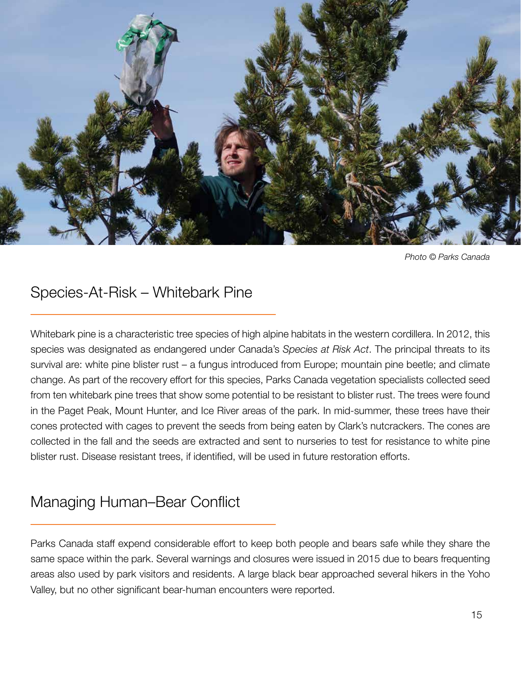

*Photo © Parks Canada*

## Species-At-Risk – Whitebark Pine

Whitebark pine is a characteristic tree species of high alpine habitats in the western cordillera. In 2012, this species was designated as endangered under Canada's *Species at Risk Act*. The principal threats to its survival are: white pine blister rust – a fungus introduced from Europe; mountain pine beetle; and climate change. As part of the recovery effort for this species, Parks Canada vegetation specialists collected seed from ten whitebark pine trees that show some potential to be resistant to blister rust. The trees were found in the Paget Peak, Mount Hunter, and Ice River areas of the park. In mid-summer, these trees have their cones protected with cages to prevent the seeds from being eaten by Clark's nutcrackers. The cones are collected in the fall and the seeds are extracted and sent to nurseries to test for resistance to white pine blister rust. Disease resistant trees, if identified, will be used in future restoration efforts.

## Managing Human–Bear Conflict

Parks Canada staff expend considerable effort to keep both people and bears safe while they share the same space within the park. Several warnings and closures were issued in 2015 due to bears frequenting areas also used by park visitors and residents. A large black bear approached several hikers in the Yoho Valley, but no other significant bear-human encounters were reported.